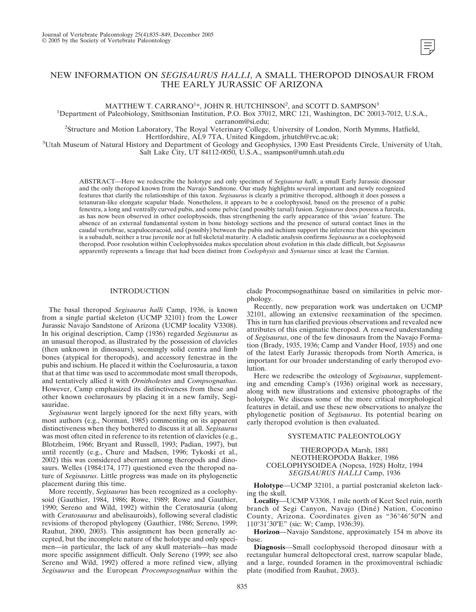# NEW INFORMATION ON *SEGISAURUS HALLI*, A SMALL THEROPOD DINOSAUR FROM THE EARLY JURASSIC OF ARIZONA

MATTHEW T. CARRANO<sup>1\*</sup>, JOHN R. HUTCHINSON<sup>2</sup>, and SCOTT D. SAMPSON<sup>3</sup>

<sup>1</sup>Department of Paleobiology, Smithsonian Institution, P.O. Box 37012, MRC 121, Washington, DC 20013-7012, U.S.A.,

carranom@si.edu;<br>Structure and Motion Laboratory, The Royal Veterinary College, University of London, North Mymms, Hatfield?

Hertfordshire, AL9 7TA, United Kingdom, jrhutch@rvc.ac.uk;<br>3Utah Museum of Natural History and Department of Geology and Geophysics, 1390 East Presidents Circle, University of Utah,

Salt Lake City, UT 84112-0050, U.S.A., ssampson@umnh.utah.edu

ABSTRACT—Here we redescribe the holotype and only specimen of *Segisaurus halli*, a small Early Jurassic dinosaur and the only theropod known from the Navajo Sandstone. Our study highlights several important and newly recognized features that clarify the relationships of this taxon. *Segisaurus* is clearly a primitive theropod, although it does possess a tetanuran-like elongate scapular blade. Nonetheless, it appears to be a coelophysoid, based on the presence of a pubic fenestra, a long and ventrally curved pubis, and some pelvic (and possibly tarsal) fusion. *Segisaurus* does possess a furcula, as has now been observed in other coelophysoids, thus strengthening the early appearance of this 'avian' feature. The absence of an external fundamental system in bone histology sections and the presence of sutural contact lines in the caudal vertebrae, scapulocoracoid, and (possibly) between the pubis and ischium support the inference that this specimen is a subadult, neither a true juvenile nor at full skeletal maturity. A cladistic analysis confirms *Segisaurus* as a coelophysoid theropod. Poor resolution within Coelophysoidea makes speculation about evolution in this clade difficult, but *Segisaurus* apparently represents a lineage that had been distinct from *Coelophysis* and *Syntarsus* since at least the Carnian.

# INTRODUCTION

The basal theropod *Segisaurus halli* Camp, 1936, is known from a single partial skeleton (UCMP 32101) from the Lower Jurassic Navajo Sandstone of Arizona (UCMP locality V3308). In his original description, Camp (1936) regarded *Segisaurus* as an unusual theropod, as illustrated by the possession of clavicles (then unknown in dinosaurs), seemingly solid centra and limb bones (atypical for theropods), and accessory fenestrae in the pubis and ischium. He placed it within the Coelurosauria, a taxon that at that time was used to accommodate most small theropods, and tentatively allied it with *Ornitholestes* and *Compsognathus*. However, Camp emphasized its distinctiveness from these and other known coelurosaurs by placing it in a new family, Segisauridae.

*Segisaurus* went largely ignored for the next fifty years, with most authors (e.g., Norman, 1985) commenting on its apparent distinctiveness when they bothered to discuss it at all. *Segisaurus* was most often cited in reference to its retention of clavicles (e.g., Blotzheim, 1966; Bryant and Russell, 1993; Padian, 1997), but until recently (e.g., Chure and Madsen, 1996; Tykoski et al., 2002) this was considered aberrant among theropods and dinosaurs. Welles (1984:174, 177) questioned even the theropod nature of *Segisaurus*. Little progress was made on its phylogenetic placement during this time.

More recently, *Segisaurus* has been recognized as a coelophysoid (Gauthier, 1984, 1986; Rowe, 1989; Rowe and Gauthier, 1990; Sereno and Wild, 1992) within the Ceratosauria (along with *Ceratosaurus* and abelisauroids), following several cladistic revisions of theropod phylogeny (Gauthier, 1986; Sereno, 1999; Rauhut, 2000, 2003). This assignment has been generally accepted, but the incomplete nature of the holotype and only specimen—in particular, the lack of any skull materials—has made more specific assignment difficult. Only Sereno (1999; see also Sereno and Wild, 1992) offered a more refined view, allying *Segisaurus* and the European *Procompsognathus* within the

clade Procompsognathinae based on similarities in pelvic morphology.

Recently, new preparation work was undertaken on UCMP 32101, allowing an extensive reexamination of the specimen. This in turn has clarified previous observations and revealed new attributes of this enigmatic theropod. A renewed understanding of *Segisaurus*, one of the few dinosaurs from the Navajo Formation (Brady, 1935, 1936; Camp and Vander Hoof, 1935) and one of the latest Early Jurassic theropods from North America, is important for our broader understanding of early theropod evolution.

Here we redescribe the osteology of *Segisaurus*, supplementing and emending Camp's (1936) original work as necessary, along with new illustrations and extensive photographs of the holotype. We discuss some of the more critical morphological features in detail, and use these new observations to analyze the phylogenetic position of *Segisaurus*. Its potential bearing on early theropod evolution is then evaluated.

# SYSTEMATIC PALEONTOLOGY

# THEROPODA Marsh, 1881 NEOTHEROPODA Bakker, 1986 COELOPHYSOIDEA (Nopcsa, 1928) Holtz, 1994 *SEGISAURUS HALLI* Camp, 1936

**Holotype**—UCMP 32101, a partial postcranial skeleton lacking the skull.

**Locality**—UCMP V3308, 1 mile north of Keet Seel ruin, north branch of Segi Canyon, Navajo (Diné) Nation, Coconino County, Arizona. Coordinates given as "36°46'50"N and 110°31′30″E" (sic: W; Camp, 1936:39).

**Horizon**—Navajo Sandstone, approximately 154 m above its base.

**Diagnosis**—Small coelophysoid theropod dinosaur with a rectangular humeral deltopectoral crest, narrow scapular blade, and a large, rounded foramen in the proximoventral ischiadic plate (modified from Rauhut, 2003).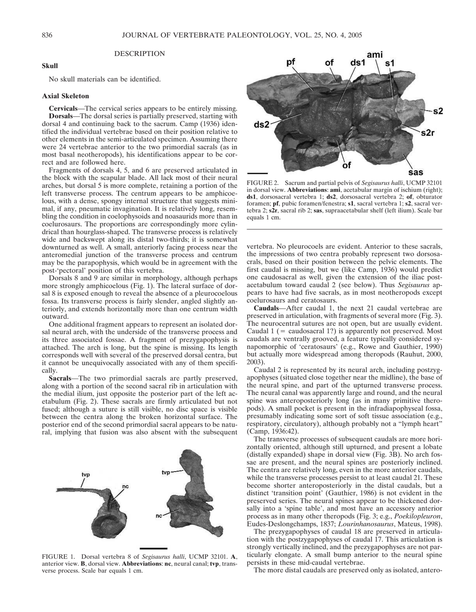### **DESCRIPTION**

# **Skull**

No skull materials can be identified.

### **Axial Skeleton**

**Cervicals**—The cervical series appears to be entirely missing. **Dorsals**—The dorsal series is partially preserved, starting with dorsal 4 and continuing back to the sacrum. Camp (1936) identified the individual vertebrae based on their position relative to other elements in the semi-articulated specimen. Assuming there were 24 vertebrae anterior to the two primordial sacrals (as in most basal neotheropods), his identifications appear to be correct and are followed here.

Fragments of dorsals 4, 5, and 6 are preserved articulated in the block with the scapular blade. All lack most of their neural arches, but dorsal 5 is more complete, retaining a portion of the left transverse process. The centrum appears to be amphicoelous, with a dense, spongy internal structure that suggests minimal, if any, pneumatic invagination. It is relatively long, resembling the condition in coelophysoids and noasaurids more than in coelurosaurs. The proportions are correspondingly more cylindrical than hourglass-shaped. The transverse process is relatively wide and backswept along its distal two-thirds; it is somewhat downturned as well. A small, anteriorly facing process near the anteromedial junction of the transverse process and centrum may be the parapophysis, which would be in agreement with the post-'pectoral' position of this vertebra.

Dorsals 8 and 9 are similar in morphology, although perhaps more strongly amphicoelous (Fig. 1). The lateral surface of dorsal 8 is exposed enough to reveal the absence of a pleurocoelous fossa. Its transverse process is fairly slender, angled slightly anteriorly, and extends horizontally more than one centrum width outward.

One additional fragment appears to represent an isolated dorsal neural arch, with the underside of the transverse process and its three associated fossae. A fragment of prezygapophysis is attached. The arch is long, but the spine is missing. Its length corresponds well with several of the preserved dorsal centra, but it cannot be unequivocally associated with any of them specifically.

**Sacrals**—The two primordial sacrals are partly preserved, along with a portion of the second sacral rib in articulation with the medial ilium, just opposite the posterior part of the left acetabulum (Fig. 2). These sacrals are firmly articulated but not fused; although a suture is still visible, no disc space is visible between the centra along the broken horizontal surface. The posterior end of the second primordial sacral appears to be natural, implying that fusion was also absent with the subsequent



FIGURE 1. Dorsal vertebra 8 of *Segisaurus halli*, UCMP 32101. **A**, anterior view. **B**, dorsal view. **Abbreviations**: **nc**, neural canal; **tvp**, transverse process. Scale bar equals 1 cm.



FIGURE 2. Sacrum and partial pelvis of *Segisaurus halli*, UCMP 32101 in dorsal view. **Abbreviations**: **ami**, acetabular margin of ischium (right); **ds1**, dorsosacral vertebra 1; **ds2**, dorsosacral vertebra 2; **of**, obturator foramen; **pf**, pubic foramen/fenestra; **s1**, sacral vertebra 1; **s2**, sacral vertebra 2; **s2r**, sacral rib 2; **sas**, supraacetabular shelf (left ilium). Scale bar equals 1 cm.

vertebra. No pleurocoels are evident. Anterior to these sacrals, the impressions of two centra probably represent two dorsosacrals, based on their position between the pelvic elements. The first caudal is missing, but we (like Camp, 1936) would predict one caudosacral as well, given the extension of the iliac postacetabulum toward caudal 2 (see below). Thus *Segisaurus* appears to have had five sacrals, as in most neotheropods except coelurosaurs and ceratosaurs.

**Caudals**—After caudal 1, the next 21 caudal vertebrae are preserved in articulation, with fragments of several more (Fig. 3). The neurocentral sutures are not open, but are usually evident. Caudal  $1$  (= caudosacral 1?) is apparently not preserved. Most caudals are ventrally grooved, a feature typically considered synapomorphic of 'ceratosaurs' (e.g., Rowe and Gauthier, 1990) but actually more widespread among theropods (Rauhut, 2000, 2003).

Caudal 2 is represented by its neural arch, including postzygapophyses (situated close together near the midline), the base of the neural spine, and part of the upturned transverse process. The neural canal was apparently large and round, and the neural spine was anteroposteriorly long (as in many primitive theropods). A small pocket is present in the infradiapophyseal fossa, presumably indicating some sort of soft tissue association (e.g., respiratory, circulatory), although probably not a "lymph heart" (Camp, 1936:42).

The transverse processes of subsequent caudals are more horizontally oriented, although still upturned, and present a lobate (distally expanded) shape in dorsal view (Fig. 3B). No arch fossae are present, and the neural spines are posteriorly inclined. The centra are relatively long, even in the more anterior caudals, while the transverse processes persist to at least caudal 21. These become shorter anteroposteriorly in the distal caudals, but a distinct 'transition point' (Gauthier, 1986) is not evident in the preserved series. The neural spines appear to be thickened dorsally into a 'spine table', and most have an accessory anterior process as in many other theropods (Fig. 3; e.g., *Poekilopleuron*, Eudes-Deslongchamps, 1837; *Lourinhanosaurus*, Mateus, 1998).

The prezygapophyses of caudal 18 are preserved in articulation with the postzygapophyses of caudal 17. This articulation is strongly vertically inclined, and the prezygapophyses are not particularly elongate. A small bump anterior to the neural spine persists in these mid-caudal vertebrae.

The more distal caudals are preserved only as isolated, antero-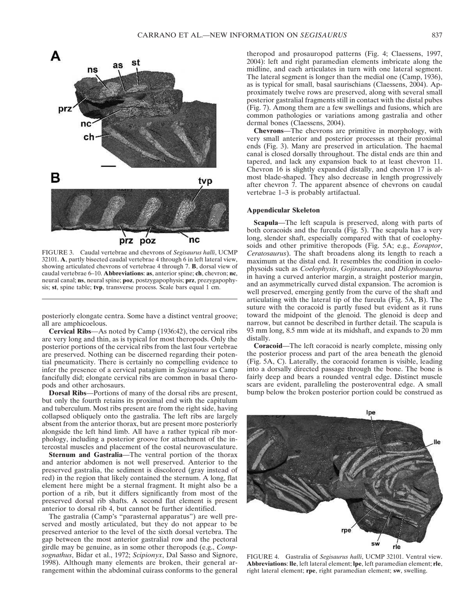

FIGURE 3. Caudal vertebrae and chevrons of *Segisaurus halli*, UCMP 32101. **A**, partly bisected caudal vertebrae 4 through 6 in left lateral view, showing articulated chevrons of vertebrae 4 through 7. **B**, dorsal view of caudal vertebrae 6–10. **Abbreviations**: **as**, anterior spine; **ch**, chevron; **nc**, neural canal; **ns**, neural spine; **poz**, postzygapophysis; **prz**, prezygapophysis; **st**, spine table; **tvp**, transverse process. Scale bars equal 1 cm.

posteriorly elongate centra. Some have a distinct ventral groove; all are amphicoelous.

**Cervical Ribs**—As noted by Camp (1936:42), the cervical ribs are very long and thin, as is typical for most theropods. Only the posterior portions of the cervical ribs from the last four vertebrae are preserved. Nothing can be discerned regarding their potential pneumaticity. There is certainly no compelling evidence to infer the presence of a cervical patagium in *Segisaurus* as Camp fancifully did; elongate cervical ribs are common in basal theropods and other archosaurs.

**Dorsal Ribs**—Portions of many of the dorsal ribs are present, but only the fourth retains its proximal end with the capitulum and tuberculum. Most ribs present are from the right side, having collapsed obliquely onto the gastralia. The left ribs are largely absent from the anterior thorax, but are present more posteriorly alongside the left hind limb. All have a rather typical rib morphology, including a posterior groove for attachment of the intercostal muscles and placement of the costal neurovasculature.

**Sternum and Gastralia**—The ventral portion of the thorax and anterior abdomen is not well preserved. Anterior to the preserved gastralia, the sediment is discolored (gray instead of red) in the region that likely contained the sternum. A long, flat element here might be a sternal fragment. It might also be a portion of a rib, but it differs significantly from most of the preserved dorsal rib shafts. A second flat element is present anterior to dorsal rib 4, but cannot be further identified.

The gastralia (Camp's "parasternal apparatus") are well preserved and mostly articulated, but they do not appear to be preserved anterior to the level of the sixth dorsal vertebra. The gap between the most anterior gastralial row and the pectoral girdle may be genuine, as in some other theropods (e.g., *Compsognathus*, Bidar et al., 1972; *Scipionyx*, Dal Sasso and Signore, 1998). Although many elements are broken, their general arrangement within the abdominal cuirass conforms to the general

theropod and prosauropod patterns (Fig. 4; Claessens, 1997, 2004): left and right paramedian elements imbricate along the midline, and each articulates in turn with one lateral segment. The lateral segment is longer than the medial one (Camp, 1936), as is typical for small, basal saurischians (Claessens, 2004). Approximately twelve rows are preserved, along with several small posterior gastralial fragments still in contact with the distal pubes (Fig. 7). Among them are a few swellings and fusions, which are common pathologies or variations among gastralia and other dermal bones (Claessens, 2004).

**Chevrons**—The chevrons are primitive in morphology, with very small anterior and posterior processes at their proximal ends (Fig. 3). Many are preserved in articulation. The haemal canal is closed dorsally throughout. The distal ends are thin and tapered, and lack any expansion back to at least chevron 11. Chevron 16 is slightly expanded distally, and chevron 17 is almost blade-shaped. They also decrease in length progressively after chevron 7. The apparent absence of chevrons on caudal vertebrae 1–3 is probably artifactual.

# **Appendicular Skeleton**

**Scapula**—The left scapula is preserved, along with parts of both coracoids and the furcula (Fig. 5). The scapula has a very long, slender shaft, especially compared with that of coelophysoids and other primitive theropods (Fig. 5A; e.g., *Eoraptor*, *Ceratosaurus*). The shaft broadens along its length to reach a maximum at the distal end. It resembles the condition in coelophysoids such as *Coelophysis*, *Gojirasaurus*, and *Dilophosaurus* in having a curved anterior margin, a straight posterior margin, and an asymmetrically curved distal expansion. The acromion is well preserved, emerging gently from the curve of the shaft and articulating with the lateral tip of the furcula (Fig. 5A, B). The suture with the coracoid is partly fused but evident as it runs toward the midpoint of the glenoid. The glenoid is deep and narrow, but cannot be described in further detail. The scapula is 93 mm long, 8.5 mm wide at its midshaft, and expands to 20 mm distally.

**Coracoid**—The left coracoid is nearly complete, missing only the posterior process and part of the area beneath the glenoid (Fig. 5A, C). Laterally, the coracoid foramen is visible, leading into a dorsally directed passage through the bone. The bone is fairly deep and bears a rounded ventral edge. Distinct muscle scars are evident, paralleling the posteroventral edge. A small bump below the broken posterior portion could be construed as



FIGURE 4. Gastralia of *Segisaurus halli*, UCMP 32101. Ventral view. **Abbreviations**: **lle**, left lateral element; **lpe**, left paramedian element; **rle**, right lateral element; **rpe**, right paramedian element; **sw**, swelling.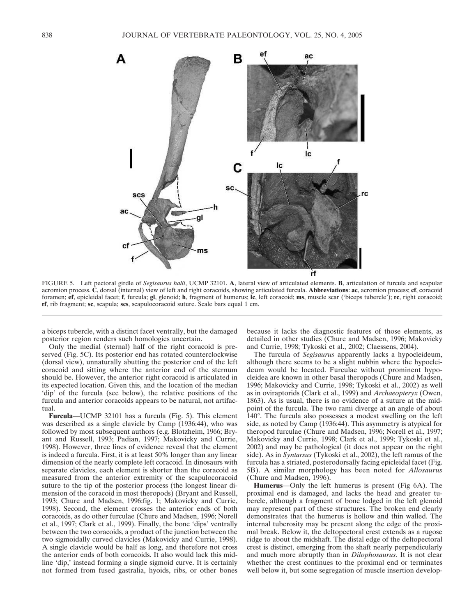

FIGURE 5. Left pectoral girdle of *Segisaurus halli*, UCMP 32101. **A**, lateral view of articulated elements. **B**, articulation of furcula and scapular acromion process. **C**, dorsal (internal) view of left and right coracoids, showing articulated furcula. **Abbreviations**: **ac**, acromion process; **cf**, coracoid foramen; **ef**, epicleidal facet; **f**, furcula; **gl**, glenoid; **h**, fragment of humerus; **lc**, left coracoid; **ms**, muscle scar ('biceps tubercle'); **rc**, right coracoid; **rf**, rib fragment; **sc**, scapula; **scs**, scapulocoracoid suture. Scale bars equal 1 cm.

a biceps tubercle, with a distinct facet ventrally, but the damaged posterior region renders such homologies uncertain.

Only the medial (sternal) half of the right coracoid is preserved (Fig. 5C). Its posterior end has rotated counterclockwise (dorsal view), unnaturally abutting the posterior end of the left coracoid and sitting where the anterior end of the sternum should be. However, the anterior right coracoid is articulated in its expected location. Given this, and the location of the median 'dip' of the furcula (see below), the relative positions of the furcula and anterior coracoids appears to be natural, not artifactual.

**Furcula**—UCMP 32101 has a furcula (Fig. 5). This element was described as a single clavicle by Camp (1936:44), who was followed by most subsequent authors (e.g. Blotzheim, 1966; Bryant and Russell, 1993; Padian, 1997; Makovicky and Currie, 1998). However, three lines of evidence reveal that the element is indeed a furcula. First, it is at least 50% longer than any linear dimension of the nearly complete left coracoid. In dinosaurs with separate clavicles, each element is shorter than the coracoid as measured from the anterior extremity of the scapulocoracoid suture to the tip of the posterior process (the longest linear dimension of the coracoid in most theropods) (Bryant and Russell, 1993; Chure and Madsen, 1996:fig. 1; Makovicky and Currie, 1998). Second, the element crosses the anterior ends of both coracoids, as do other furculae (Chure and Madsen, 1996; Norell et al., 1997; Clark et al., 1999). Finally, the bone 'dips' ventrally between the two coracoids, a product of the junction between the two sigmoidally curved clavicles (Makovicky and Currie, 1998). A single clavicle would be half as long, and therefore not cross the anterior ends of both coracoids. It also would lack this midline 'dip,' instead forming a single sigmoid curve. It is certainly not formed from fused gastralia, hyoids, ribs, or other bones because it lacks the diagnostic features of those elements, as detailed in other studies (Chure and Madsen, 1996; Makovicky and Currie, 1998; Tykoski et al., 2002; Claessens, 2004).

The furcula of *Segisaurus* apparently lacks a hypocleideum, although there seems to be a slight nubbin where the hypocleideum would be located. Furculae without prominent hypocleidea are known in other basal theropods (Chure and Madsen, 1996; Makovicky and Currie, 1998; Tykoski et al., 2002) as well as in oviraptorids (Clark et al., 1999) and *Archaeopteryx* (Owen, 1863). As is usual, there is no evidence of a suture at the midpoint of the furcula. The two rami diverge at an angle of about 140°. The furcula also possesses a modest swelling on the left side, as noted by Camp (1936:44). This asymmetry is atypical for theropod furculae (Chure and Madsen, 1996; Norell et al., 1997; Makovicky and Currie, 1998; Clark et al., 1999; Tykoski et al., 2002) and may be pathological (it does not appear on the right side). As in *Syntarsus* (Tykoski et al., 2002), the left ramus of the furcula has a striated, posterodorsally facing epicleidal facet (Fig. 5B). A similar morphology has been noted for *Allosaurus* (Chure and Madsen, 1996).

**Humerus**—Only the left humerus is present (Fig 6A). The proximal end is damaged, and lacks the head and greater tubercle, although a fragment of bone lodged in the left glenoid may represent part of these structures. The broken end clearly demonstrates that the humerus is hollow and thin walled. The internal tuberosity may be present along the edge of the proximal break. Below it, the deltopectoral crest extends as a rugose ridge to about the midshaft. The distal edge of the deltopectoral crest is distinct, emerging from the shaft nearly perpendicularly and much more abruptly than in *Dilophosaurus*. It is not clear whether the crest continues to the proximal end or terminates well below it, but some segregation of muscle insertion develop-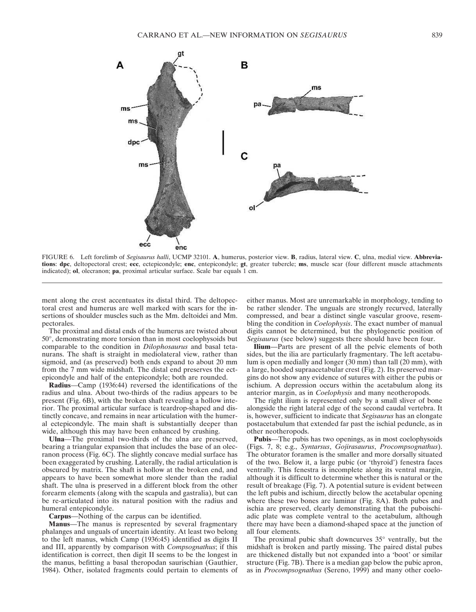

FIGURE 6. Left forelimb of *Segisaurus halli*, UCMP 32101. **A**, humerus, posterior view. **B**, radius, lateral view. **C**, ulna, medial view. **Abbreviations**: **dpc**, deltopectoral crest; **ecc**, ectepicondyle; **enc**, entepicondyle; **gt**, greater tubercle; **ms**, muscle scar (four different muscle attachments indicated); **ol**, olecranon; **pa**, proximal articular surface. Scale bar equals 1 cm.

ment along the crest accentuates its distal third. The deltopectoral crest and humerus are well marked with scars for the insertions of shoulder muscles such as the Mm. deltoidei and Mm. pectorales.

The proximal and distal ends of the humerus are twisted about 50°, demonstrating more torsion than in most coelophysoids but comparable to the condition in *Dilophosaurus* and basal tetanurans. The shaft is straight in mediolateral view, rather than sigmoid, and (as preserved) both ends expand to about 20 mm from the 7 mm wide midshaft. The distal end preserves the ectepicondyle and half of the entepicondyle; both are rounded.

**Radius**—Camp (1936:44) reversed the identifications of the radius and ulna. About two-thirds of the radius appears to be present (Fig. 6B), with the broken shaft revealing a hollow interior. The proximal articular surface is teardrop-shaped and distinctly concave, and remains in near articulation with the humeral ectepicondyle. The main shaft is substantially deeper than wide, although this may have been enhanced by crushing.

**Ulna**—The proximal two-thirds of the ulna are preserved, bearing a triangular expansion that includes the base of an olecranon process (Fig. 6C). The slightly concave medial surface has been exaggerated by crushing. Laterally, the radial articulation is obscured by matrix. The shaft is hollow at the broken end, and appears to have been somewhat more slender than the radial shaft. The ulna is preserved in a different block from the other forearm elements (along with the scapula and gastralia), but can be re-articulated into its natural position with the radius and humeral entepicondyle.

**Carpus**—Nothing of the carpus can be identified.

**Manus**—The manus is represented by several fragmentary phalanges and unguals of uncertain identity. At least two belong to the left manus, which Camp (1936:45) identified as digits II and III, apparently by comparison with *Compsognathus*; if this identification is correct, then digit II seems to be the longest in the manus, befitting a basal theropodan saurischian (Gauthier, 1984). Other, isolated fragments could pertain to elements of either manus. Most are unremarkable in morphology, tending to be rather slender. The unguals are strongly recurved, laterally compressed, and bear a distinct single vascular groove, resembling the condition in *Coelophysis*. The exact number of manual digits cannot be determined, but the phylogenetic position of *Segisaurus* (see below) suggests there should have been four.

**Ilium**—Parts are present of all the pelvic elements of both sides, but the ilia are particularly fragmentary. The left acetabulum is open medially and longer (30 mm) than tall (20 mm), with a large, hooded supraacetabular crest (Fig. 2). Its preserved margins do not show any evidence of sutures with either the pubis or ischium. A depression occurs within the acetabulum along its anterior margin, as in *Coelophysis* and many neotheropods.

The right ilium is represented only by a small sliver of bone alongside the right lateral edge of the second caudal vertebra. It is, however, sufficient to indicate that *Segisaurus* has an elongate postacetabulum that extended far past the ischial peduncle, as in other neotheropods.

**Pubis**—The pubis has two openings, as in most coelophysoids (Figs. 7, 8; e.g., *Syntarsus*, *Gojirasaurus*, *Procompsognathus*). The obturator foramen is the smaller and more dorsally situated of the two. Below it, a large pubic (or 'thyroid') fenestra faces ventrally. This fenestra is incomplete along its ventral margin, although it is difficult to determine whether this is natural or the result of breakage (Fig. 7). A potential suture is evident between the left pubis and ischium, directly below the acetabular opening where these two bones are laminar (Fig. 8A). Both pubes and ischia are preserved, clearly demonstrating that the puboischiadic plate was complete ventral to the acetabulum, although there may have been a diamond-shaped space at the junction of all four elements.

The proximal pubic shaft downcurves 35° ventrally, but the midshaft is broken and partly missing. The paired distal pubes are thickened distally but not expanded into a 'boot' or similar structure (Fig. 7B). There is a median gap below the pubic apron, as in *Procompsognathus* (Sereno, 1999) and many other coelo-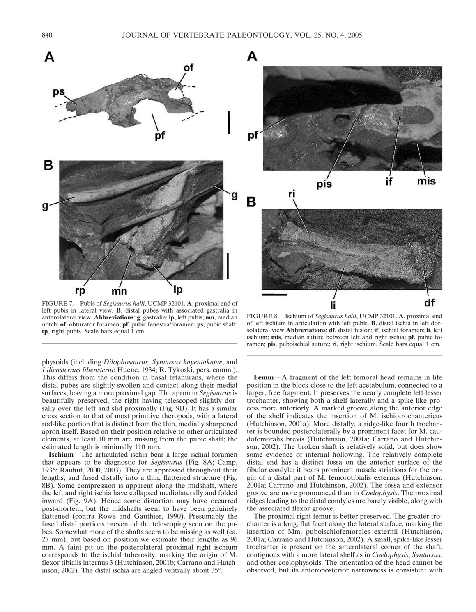



FIGURE 7. Pubis of *Segisaurus halli*, UCMP 32101. **A**, proximal end of left pubis in lateral view. **B**, distal pubes with associated gastralia in anterolateral view. **Abbreviations**: **g**, gastralia; **lp**, left pubis; **mn**, median notch; **of**, obturator foramen; **pf**, pubic fenestra/foramen; **ps**, pubic shaft; **rp**, right pubis. Scale bars equal 1 cm.

physoids (including *Dilophosaurus*, *Syntarsus kayentakatae*, and *Liliensternus liliensterni*; Huene, 1934; R. Tykoski, pers. comm.). This differs from the condition in basal tetanurans, where the distal pubes are slightly swollen and contact along their medial surfaces, leaving a more proximal gap. The apron in *Segisaurus* is beautifully preserved, the right having telescoped slightly dorsally over the left and slid proximally (Fig. 9B). It has a similar cross section to that of most primitive theropods, with a lateral rod-like portion that is distinct from the thin, medially sharpened apron itself. Based on their position relative to other articulated elements, at least 10 mm are missing from the pubic shaft; the estimated length is minimally 110 mm.

**Ischium**—The articulated ischia bear a large ischial foramen that appears to be diagnostic for *Segisaurus* (Fig. 8A; Camp, 1936; Rauhut, 2000, 2003). They are appressed throughout their lengths, and fused distally into a thin, flattened structure (Fig. 8B). Some compression is apparent along the midshaft, where the left and right ischia have collapsed mediolaterally and folded inward (Fig. 9A). Hence some distortion may have occurred post-mortem, but the midshafts seem to have been genuinely flattened (contra Rowe and Gauthier, 1990). Presumably the fused distal portions prevented the telescoping seen on the pubes. Somewhat more of the shafts seem to be missing as well (ca. 27 mm), but based on position we estimate their lengths as 96 mm. A faint pit on the posterolateral proximal right ischium corresponds to the ischial tuberosity, marking the origin of M. flexor tibialis internus 3 (Hutchinson, 2001b; Carrano and Hutchinson, 2002). The distal ischia are angled ventrally about 35°.

FIGURE 8. Ischium of *Segisaurus halli*, UCMP 32101. **A**, proximal end of left ischium in articulation with left pubis. **B**, distal ischia in left dorsolateral view **Abbreviations**: **df**, distal fusion; **if**, ischial foramen; **li**, left ischium; **mis**, median suture between left and right ischia; **pf**, pubic foramen; **pis**, puboischial suture; **ri**, right ischium. Scale bars equal 1 cm.

**Femur**—A fragment of the left femoral head remains in life position in the block close to the left acetabulum, connected to a larger, free fragment. It preserves the nearly complete left lesser trochanter, showing both a shelf laterally and a spike-like process more anteriorly. A marked groove along the anterior edge of the shelf indicates the insertion of M. ischiotrochantericus (Hutchinson, 2001a). More distally, a ridge-like fourth trochanter is bounded posterolaterally by a prominent facet for M. caudofemoralis brevis (Hutchinson, 2001a; Carrano and Hutchinson, 2002). The broken shaft is relatively solid, but does show some evidence of internal hollowing. The relatively complete distal end has a distinct fossa on the anterior surface of the fibular condyle; it bears prominent muscle striations for the origin of a distal part of M. femorotibialis externus (Hutchinson, 2001a; Carrano and Hutchinson, 2002). The fossa and extensor groove are more pronounced than in *Coelophysis*. The proximal ridges leading to the distal condyles are barely visible, along with the associated flexor groove.

The proximal right femur is better preserved. The greater trochanter is a long, flat facet along the lateral surface, marking the insertion of Mm. puboischiofemorales externii (Hutchinson, 2001a; Carrano and Hutchinson, 2002). A small, spike-like lesser trochanter is present on the anterolateral corner of the shaft, contiguous with a more lateral shelf as in *Coelophysis*, *Syntarsus*, and other coelophysoids. The orientation of the head cannot be observed, but its anteroposterior narrowness is consistent with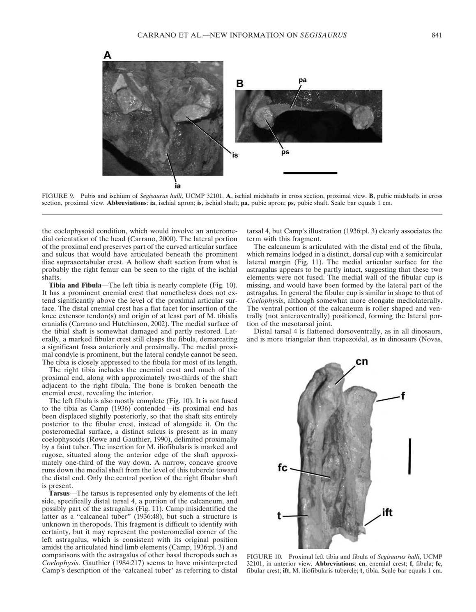

FIGURE 9. Pubis and ischium of *Segisaurus halli*, UCMP 32101. **A**, ischial midshafts in cross section, proximal view. **B**, pubic midshafts in cross section, proximal view. **Abbreviations**: **ia**, ischial apron; **is**, ischial shaft; **pa**, pubic apron; **ps**, pubic shaft. Scale bar equals 1 cm.

the coelophysoid condition, which would involve an anteromedial orientation of the head (Carrano, 2000). The lateral portion of the proximal end preserves part of the curved articular surface and sulcus that would have articulated beneath the prominent iliac supraacetabular crest. A hollow shaft section from what is probably the right femur can be seen to the right of the ischial shafts.

**Tibia and Fibula**—The left tibia is nearly complete (Fig. 10). It has a prominent cnemial crest that nonetheless does not extend significantly above the level of the proximal articular surface. The distal cnemial crest has a flat facet for insertion of the knee extensor tendon(s) and origin of at least part of M. tibialis cranialis (Carrano and Hutchinson, 2002). The medial surface of the tibial shaft is somewhat damaged and partly restored. Laterally, a marked fibular crest still clasps the fibula, demarcating a significant fossa anteriorly and proximally. The medial proximal condyle is prominent, but the lateral condyle cannot be seen. The tibia is closely appressed to the fibula for most of its length.

The right tibia includes the cnemial crest and much of the proximal end, along with approximately two-thirds of the shaft adjacent to the right fibula. The bone is broken beneath the cnemial crest, revealing the interior.

The left fibula is also mostly complete (Fig. 10). It is not fused to the tibia as Camp (1936) contended—its proximal end has been displaced slightly posteriorly, so that the shaft sits entirely posterior to the fibular crest, instead of alongside it. On the posteromedial surface, a distinct sulcus is present as in many coelophysoids (Rowe and Gauthier, 1990), delimited proximally by a faint tuber. The insertion for M. iliofibularis is marked and rugose, situated along the anterior edge of the shaft approximately one-third of the way down. A narrow, concave groove runs down the medial shaft from the level of this tubercle toward the distal end. Only the central portion of the right fibular shaft is present.

**Tarsus**—The tarsus is represented only by elements of the left side, specifically distal tarsal 4, a portion of the calcaneum, and possibly part of the astragalus (Fig. 11). Camp misidentified the latter as a "calcaneal tuber" (1936:48), but such a structure is unknown in theropods. This fragment is difficult to identify with certainty, but it may represent the posteromedial corner of the left astragalus, which is consistent with its original position amidst the articulated hind limb elements (Camp, 1936:pl. 3) and comparisons with the astragalus of other basal theropods such as *Coelophysis*. Gauthier (1984:217) seems to have misinterpreted Camp's description of the 'calcaneal tuber' as referring to distal tarsal 4, but Camp's illustration (1936:pl. 3) clearly associates the term with this fragment.

The calcaneum is articulated with the distal end of the fibula, which remains lodged in a distinct, dorsal cup with a semicircular lateral margin (Fig. 11). The medial articular surface for the astragalus appears to be partly intact, suggesting that these two elements were not fused. The medial wall of the fibular cup is missing, and would have been formed by the lateral part of the astragalus. In general the fibular cup is similar in shape to that of *Coelophysis*, although somewhat more elongate mediolaterally. The ventral portion of the calcaneum is roller shaped and ventrally (not anteroventrally) positioned, forming the lateral portion of the mesotarsal joint.

Distal tarsal 4 is flattened dorsoventrally, as in all dinosaurs, and is more triangular than trapezoidal, as in dinosaurs (Novas,



FIGURE 10. Proximal left tibia and fibula of *Segisaurus halli*, UCMP 32101, in anterior view. **Abbreviations**: **cn**, cnemial crest; **f**, fibula; **fc**, fibular crest; **ift**, M. iliofibularis tubercle; **t**, tibia. Scale bar equals 1 cm.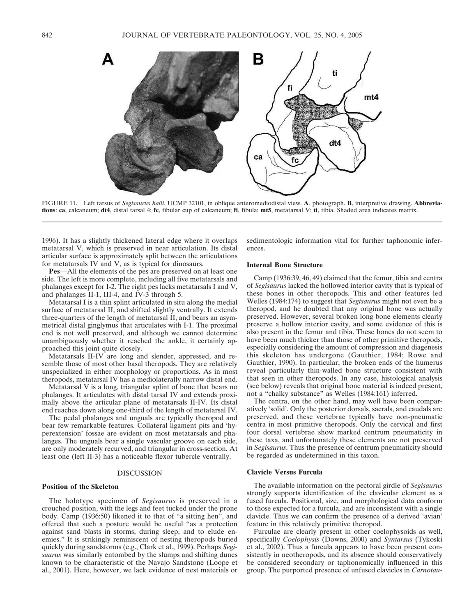

FIGURE 11. Left tarsus of *Segisaurus halli*, UCMP 32101, in oblique anteromediodistal view. **A**, photograph. **B**, interpretive drawing. **Abbreviations**: **ca**, calcaneum; **dt4**, distal tarsal 4; **fc**, fibular cup of calcaneum; **fi**, fibula; **mt5**, metatarsal V; **ti**, tibia. Shaded area indicates matrix.

1996). It has a slightly thickened lateral edge where it overlaps metatarsal V, which is preserved in near articulation. Its distal articular surface is approximately split between the articulations for metatarsals IV and V, as is typical for dinosaurs.

**Pes**—All the elements of the pes are preserved on at least one side. The left is more complete, including all five metatarsals and phalanges except for I-2. The right pes lacks metatarsals I and V, and phalanges II-1, III-4, and IV-3 through 5.

Metatarsal I is a thin splint articulated in situ along the medial surface of metatarsal II, and shifted slightly ventrally. It extends three-quarters of the length of metatarsal II, and bears an asymmetrical distal ginglymus that articulates with I-1. The proximal end is not well preserved, and although we cannot determine unambiguously whether it reached the ankle, it certainly approached this joint quite closely.

Metatarsals II-IV are long and slender, appressed, and resemble those of most other basal theropods. They are relatively unspecialized in either morphology or proportions. As in most theropods, metatarsal IV has a mediolaterally narrow distal end.

Metatarsal V is a long, triangular splint of bone that bears no phalanges. It articulates with distal tarsal IV and extends proximally above the articular plane of metatarsals II-IV. Its distal end reaches down along one-third of the length of metatarsal IV.

The pedal phalanges and unguals are typically theropod and bear few remarkable features. Collateral ligament pits and 'hyperextension' fossae are evident on most metatarsals and phalanges. The unguals bear a single vascular groove on each side, are only moderately recurved, and triangular in cross-section. At least one (left II-3) has a noticeable flexor tubercle ventrally.

### DISCUSSION

### **Position of the Skeleton**

The holotype specimen of *Segisaurus* is preserved in a crouched position, with the legs and feet tucked under the prone body. Camp (1936:50) likened it to that of "a sitting hen", and offered that such a posture would be useful "as a protection against sand blasts in storms, during sleep, and to elude enemies." It is strikingly reminiscent of nesting theropods buried quickly during sandstorms (e.g., Clark et al., 1999). Perhaps *Segisaurus* was similarly entombed by the slumps and shifting dunes known to be characteristic of the Navajo Sandstone (Loope et al., 2001). Here, however, we lack evidence of nest materials or

sedimentologic information vital for further taphonomic inferences.

### **Internal Bone Structure**

Camp (1936:39, 46, 49) claimed that the femur, tibia and centra of *Segisaurus* lacked the hollowed interior cavity that is typical of these bones in other theropods. This and other features led Welles (1984:174) to suggest that *Segisaurus* might not even be a theropod, and he doubted that any original bone was actually preserved. However, several broken long bone elements clearly preserve a hollow interior cavity, and some evidence of this is also present in the femur and tibia. These bones do not seem to have been much thicker than those of other primitive theropods, especially considering the amount of compression and diagenesis this skeleton has undergone (Gauthier, 1984; Rowe and Gauthier, 1990). In particular, the broken ends of the humerus reveal particularly thin-walled bone structure consistent with that seen in other theropods. In any case, histological analysis (see below) reveals that original bone material is indeed present, not a "chalky substance" as Welles (1984:161) inferred.

The centra, on the other hand, may well have been comparatively 'solid'. Only the posterior dorsals, sacrals, and caudals are preserved, and these vertebrae typically have non-pneumatic centra in most primitive theropods. Only the cervical and first four dorsal vertebrae show marked centrum pneumaticity in these taxa, and unfortunately these elements are not preserved in *Segisaurus*. Thus the presence of centrum pneumaticity should be regarded as undetermined in this taxon.

## **Clavicle Versus Furcula**

The available information on the pectoral girdle of *Segisaurus* strongly supports identification of the clavicular element as a fused furcula. Positional, size, and morphological data conform to those expected for a furcula, and are inconsistent with a single clavicle. Thus we can confirm the presence of a derived 'avian' feature in this relatively primitive theropod.

Furculae are clearly present in other coelophysoids as well, specifically *Coelophysis* (Downs, 2000) and *Syntarsus* (Tykoski et al., 2002). Thus a furcula appears to have been present consistently in neotheropods, and its absence should conservatively be considered secondary or taphonomically influenced in this group. The purported presence of unfused clavicles in *Carnotau-*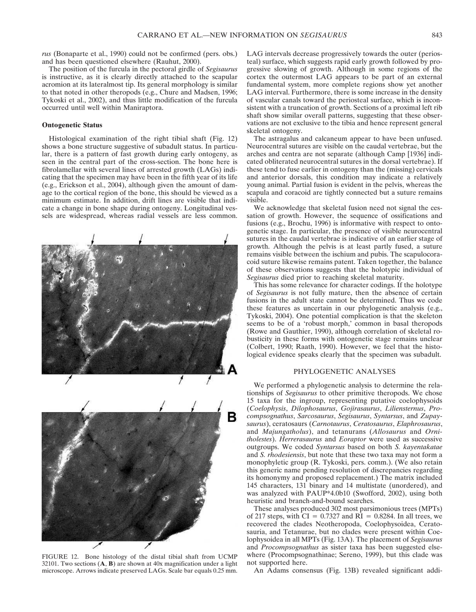*rus* (Bonaparte et al., 1990) could not be confirmed (pers. obs.) and has been questioned elsewhere (Rauhut, 2000).

The position of the furcula in the pectoral girdle of *Segisaurus* is instructive, as it is clearly directly attached to the scapular acromion at its lateralmost tip. Its general morphology is similar to that noted in other theropods (e.g., Chure and Madsen, 1996; Tykoski et al., 2002), and thus little modification of the furcula occurred until well within Maniraptora.

### **Ontogenetic Status**

Histological examination of the right tibial shaft (Fig. 12) shows a bone structure suggestive of subadult status. In particular, there is a pattern of fast growth during early ontogeny, as seen in the central part of the cross-section. The bone here is fibrolamellar with several lines of arrested growth (LAGs) indicating that the specimen may have been in the fifth year of its life (e.g., Erickson et al., 2004), although given the amount of damage to the cortical region of the bone, this should be viewed as a minimum estimate. In addition, drift lines are visible that indicate a change in bone shape during ontogeny. Longitudinal vessels are widespread, whereas radial vessels are less common.



FIGURE 12. Bone histology of the distal tibial shaft from UCMP 32101. Two sections (**A**, **B**) are shown at 40x magnification under a light microscope. Arrows indicate preserved LAGs. Scale bar equals 0.25 mm.

LAG intervals decrease progressively towards the outer (periosteal) surface, which suggests rapid early growth followed by progressive slowing of growth. Although in some regions of the cortex the outermost LAG appears to be part of an external fundamental system, more complete regions show yet another LAG interval. Furthermore, there is some increase in the density of vascular canals toward the periosteal surface, which is inconsistent with a truncation of growth. Sections of a proximal left rib shaft show similar overall patterns, suggesting that these observations are not exclusive to the tibia and hence represent general skeletal ontogeny.

The astragalus and calcaneum appear to have been unfused. Neurocentral sutures are visible on the caudal vertebrae, but the arches and centra are not separate (although Camp [1936] indicated obliterated neurocentral sutures in the dorsal vertebrae). If these tend to fuse earlier in ontogeny than the (missing) cervicals and anterior dorsals, this condition may indicate a relatively young animal. Partial fusion is evident in the pelvis, whereas the scapula and coracoid are tightly connected but a suture remains visible.

We acknowledge that skeletal fusion need not signal the cessation of growth. However, the sequence of ossifications and fusions (e.g., Brochu, 1996) is informative with respect to ontogenetic stage. In particular, the presence of visible neurocentral sutures in the caudal vertebrae is indicative of an earlier stage of growth. Although the pelvis is at least partly fused, a suture remains visible between the ischium and pubis. The scapulocoracoid suture likewise remains patent. Taken together, the balance of these observations suggests that the holotypic individual of *Segisaurus* died prior to reaching skeletal maturity.

This has some relevance for character codings. If the holotype of *Segisaurus* is not fully mature, then the absence of certain fusions in the adult state cannot be determined. Thus we code these features as uncertain in our phylogenetic analysis (e.g., Tykoski, 2004). One potential complication is that the skeleton seems to be of a 'robust morph,' common in basal theropods (Rowe and Gauthier, 1990), although correlation of skeletal robusticity in these forms with ontogenetic stage remains unclear (Colbert, 1990; Raath, 1990). However, we feel that the histological evidence speaks clearly that the specimen was subadult.

# PHYLOGENETIC ANALYSES

We performed a phylogenetic analysis to determine the relationships of *Segisaurus* to other primitive theropods. We chose 15 taxa for the ingroup, representing putative coelophysoids (*Coelophysis*, *Dilophosaurus*, *Gojirasaurus*, *Liliensternus*, *Procompsognathus*, *Sarcosaurus*, *Segisaurus*, *Syntarsus*, and *Zupaysaurus*), ceratosaurs (*Carnotaurus*, *Ceratosaurus*, *Elaphrosaurus*, and *Majungatholus*), and tetanurans (*Allosaurus* and *Ornitholestes*). *Herrerasaurus* and *Eoraptor* were used as successive outgroups. We coded *Syntarsus* based on both *S. kayentakatae* and *S. rhodesiensis*, but note that these two taxa may not form a monophyletic group (R. Tykoski, pers. comm.). (We also retain this generic name pending resolution of discrepancies regarding its homonymy and proposed replacement.) The matrix included 145 characters, 131 binary and 14 multistate (unordered), and was analyzed with PAUP\*4.0b10 (Swofford, 2002), using both heuristic and branch-and-bound searches.

These analyses produced 302 most parsimonious trees (MPTs) of 217 steps, with  $CI = 0.7327$  and  $RI = 0.8284$ . In all trees, we recovered the clades Neotheropoda, Coelophysoidea, Ceratosauria, and Tetanurae, but no clades were present within Coelophysoidea in all MPTs (Fig. 13A). The placement of *Segisaurus* and *Procompsognathus* as sister taxa has been suggested elsewhere (Procompsognathinae; Sereno, 1999), but this clade was not supported here.

An Adams consensus (Fig. 13B) revealed significant addi-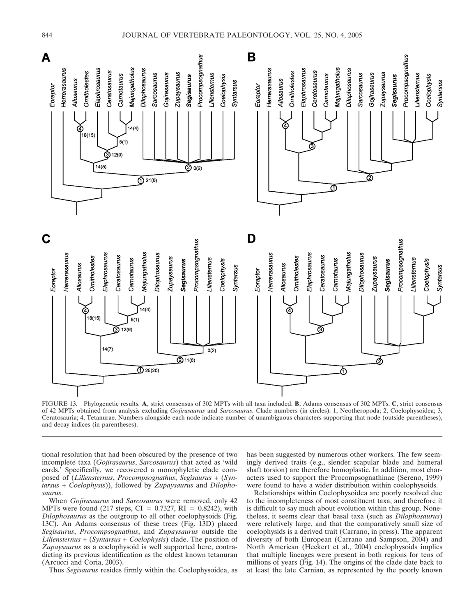

FIGURE 13. Phylogenetic results. **A**, strict consensus of 302 MPTs with all taxa included. **B**, Adams consensus of 302 MPTs. **C**, strict consensus of 42 MPTs obtained from analysis excluding *Gojirasaurus* and *Sarcosaurus*. Clade numbers (in circles): 1, Neotheropoda; 2, Coelophysoidea; 3, Ceratosauria; 4, Tetanurae. Numbers alongside each node indicate number of unambiguous characters supporting that node (outside parentheses), and decay indices (in parentheses).

tional resolution that had been obscured by the presence of two incomplete taxa (*Gojirasaurus*, *Sarcosaurus*) that acted as 'wild cards.' Specifically, we recovered a monophyletic clade composed of (*Liliensternus*, *Procompsognathus*, *Segisaurus* + (*Syntarsus* + *Coelophysis*)), followed by *Zupaysaurus* and *Dilophosaurus*.

When *Gojirasaurus* and *Sarcosaurus* were removed, only 42 MPTs were found (217 steps,  $CI = 0.7327$ ,  $RI = 0.8242$ ), with *Dilophosaurus* as the outgroup to all other coelophysoids (Fig. 13C). An Adams consensus of these trees (Fig. 13D) placed *Segisaurus*, *Procompsognathus*, and *Zupaysaurus* outside the *Liliensternus* + (*Syntarsus* + *Coelophysis*) clade. The position of *Zupaysaurus* as a coelophysoid is well supported here, contradicting its previous identification as the oldest known tetanuran (Arcucci and Coria, 2003).

Thus *Segisaurus* resides firmly within the Coelophysoidea, as

has been suggested by numerous other workers. The few seemingly derived traits (e.g., slender scapular blade and humeral shaft torsion) are therefore homoplastic. In addition, most characters used to support the Procompsognathinae (Sereno, 1999) were found to have a wider distribution within coelophysoids.

Relationships within Coelophysoidea are poorly resolved due to the incompleteness of most constituent taxa, and therefore it is difficult to say much about evolution within this group. Nonetheless, it seems clear that basal taxa (such as *Dilophosaurus*) were relatively large, and that the comparatively small size of coelophysids is a derived trait (Carrano, in press). The apparent diversity of both European (Carrano and Sampson, 2004) and North American (Heckert et al., 2004) coelophysoids implies that multiple lineages were present in both regions for tens of millions of years (Fig. 14). The origins of the clade date back to at least the late Carnian, as represented by the poorly known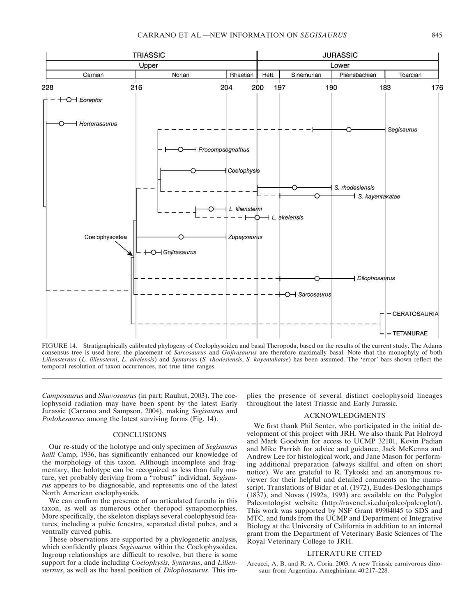

FIGURE 14. Stratigraphically calibrated phylogeny of Coelophysoidea and basal Theropoda, based on the results of the current study. The Adams consensus tree is used here; the placement of *Sarcosaurus* and *Gojirasaurus* are therefore maximally basal. Note that the monophyly of both *Liliensternus* (*L. liliensterni*, *L. airelensis*) and *Syntarsus* (*S. rhodesiensis*, *S. kayentakatae*) has been assumed. The 'error' bars shown reflect the temporal resolution of taxon occurrences, not true time ranges.

*Camposaurus* and *Shuvosaurus* (in part; Rauhut, 2003). The coelophysoid radiation may have been spent by the latest Early Jurassic (Carrano and Sampson, 2004), making *Segisaurus* and *Podokesaurus* among the latest surviving forms (Fig. 14).

# **CONCLUSIONS**

Our re-study of the holotype and only specimen of *Segisaurus halli* Camp, 1936, has significantly enhanced our knowledge of the morphology of this taxon. Although incomplete and fragmentary, the holotype can be recognized as less than fully mature, yet probably deriving from a "robust" individual. *Segisaurus* appears to be diagnosable, and represents one of the latest North American coelophysoids.

We can confirm the presence of an articulated furcula in this taxon, as well as numerous other theropod synapomorphies. More specifically, the skeleton displays several coelophysoid features, including a pubic fenestra, separated distal pubes, and a ventrally curved pubis.

These observations are supported by a phylogenetic analysis, which confidently places *Segisaurus* within the Coelophysoidea. Ingroup relationships are difficult to resolve, but there is some support for a clade including *Coelophysis*, *Syntarsus*, and *Liliensternus*, as well as the basal position of *Dilophosaurus*. This implies the presence of several distinct coelophysoid lineages throughout the latest Triassic and Early Jurassic.

### ACKNOWLEDGMENTS

We first thank Phil Senter, who participated in the initial development of this project with JRH. We also thank Pat Holroyd and Mark Goodwin for access to UCMP 32101, Kevin Padian and Mike Parrish for advice and guidance, Jack McKenna and Andrew Lee for histological work, and Jane Mason for performing additional preparation (always skillful and often on short notice). We are grateful to R. Tykoski and an anonymous reviewer for their helpful and detailed comments on the manuscript. Translations of Bidar et al. (1972), Eudes-Deslongchamps (1837), and Novas (1992a, 1993) are available on the Polyglot Paleontologist website (http://ravenel.si.edu/paleo/paleoglot/). This work was supported by NSF Grant #9904045 to SDS and MTC, and funds from the UCMP and Department of Integrative Biology at the University of California in addition to an internal grant from the Department of Veterinary Basic Sciences of The Royal Veterinary College to JRH.

## LITERATURE CITED

Arcucci, A. B. and R. A. Coria. 2003. A new Triassic carnivorous dinosaur from Argentina**.** Ameghiniana 40:217–228.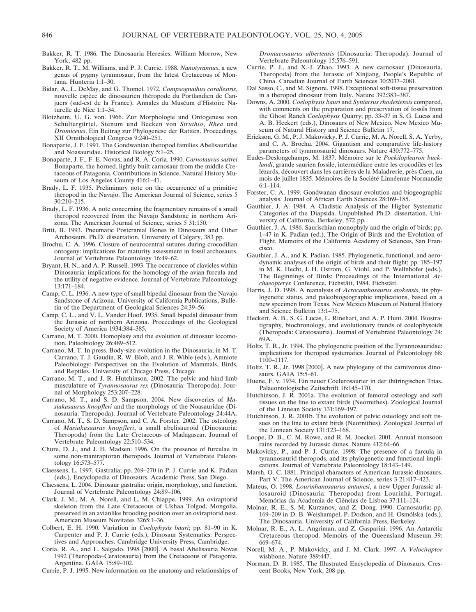- Bakker, R. T. 1986. The Dinosauria Heresies. William Morrow, New York, 482 pp.
- Bakker, R. T., M. Williams, and P. J. Currie. 1988. *Nanotyrannus*, a new genus of pygmy tyrannosaur, from the latest Cretaceous of Montana. Hunteria 1:1–30.
- Bidar, A., L. DeMay, and G. Thomel. 1972. *Compsognathus corallestris*, nouvelle espèce de dinosaurien théropode du Portlandien de Canjuers (sud-est de la France). Annales du Muséum d'Histoire Naturelle de Nice 1:1–34.
- Blotzheim, U. G. von. 1966. Zur Morphologie und Ontogenese von Schultergürtel, Stenum und Becken von *Struthio*, *Rhea* und *Dromiceius*. Ein Beitrag zur Phylogenese der Ratiten. Proceedings, XII Ornithological Congress 9:240–251.
- Bonaparte, J. F. 1991. The Gondwanian theropod families Abelisauridae and Noasauridae. Historical Biology 5:1–25.
- Bonaparte, J. F., F. E. Novas, and R. A. Coria. 1990. *Carnotaurus sastrei* Bonaparte, the horned, lightly built carnosaur from the middle Cretaceous of Patagonia. Contributions in Science, Natural History Museum of Los Angeles County 416:1–41.
- Brady, L. F. 1935. Preliminary note on the occurrence of a primitive theropod in the Navajo. The American Journal of Science, series 5 30:210–215.
- Brady, L. F. 1936. A note concerning the fragmentary remains of a small theropod recovered from the Navajo Sandstone in northern Arizona. The American Journal of Science, series 5 31:150.
- Britt, B. 1993. Pneumatic Postcranial Bones in Dinosaurs and Other Archosaurs. Ph.D. dissertation, University of Calgary, 383 pp.
- Brochu, C. A. 1996. Closure of neurocentral sutures during crocodilian ontogeny: implications for maturity assessment in fossil archosaurs. Journal of Vertebrate Paleontology 16:49–62.
- Bryant, H. N., and A. P. Russell. 1993. The occurrence of clavicles within Dinosauria: implications for the homology of the avian furcula and the utility of negative evidence. Journal of Vertebrate Paleontology 13:171–184.
- Camp, C. L. 1936. A new type of small bipedal dinosaur from the Navajo Sandstone of Arizona. University of California Publications, Bulletin of the Department of Geological Sciences 24:39–56.
- Camp, C. L., and V. L. Vander Hoof. 1935. Small bipedal dinosaur from the Jurassic of northern Arizona. Proceedings of the Geological Society of America 1934:384–385.
- Carrano, M. T. 2000. Homoplasy and the evolution of dinosaur locomotion. Paleobiology 26:489–512.
- Carrano, M. T. In press. Body-size evolution in the Dinosauria; in M. T. Carrano, T. J. Gaudin, R. W. Blob, and J. R. Wible (eds.), Amniote Paleobiology: Perspectives on the Evolution of Mammals, Birds, and Reptiles. University of Chicago Press, Chicago.
- Carrano, M. T., and J. R. Hutchinson. 2002. The pelvic and hind limb musculature of *Tyrannosaurus rex* (Dinosauria: Theropoda). Journal of Morphology 253:207–228.
- Carrano, M. T., and S. D. Sampson. 2004. New discoveries of *Masiakasaurus knopfleri* and the morphology of the Noasauridae (Dinosauria: Theropoda). Journal of Vertebrate Paleontology 24:44A.
- Carrano, M. T., S. D. Sampson, and C. A. Forster. 2002. The osteology of *Masiakasaurus knopfleri*, a small abelisauroid (Dinosauria: Theropoda) from the Late Cretaceous of Madagascar. Journal of Vertebrate Paleontology 22:510–534.
- Chure, D. J., and J. H. Madsen. 1996. On the presence of furculae in some non-maniraptoran theropods. Journal of Vertebrate Paleontology 16:573–577.
- Claessens, L. 1997. Gastralia; pp. 269–270 in P. J. Currie and K. Padian (eds.), Encyclopedia of Dinosaurs. Academic Press, San Diego.
- Claessens, L. 2004. Dinosaur gastralia: origin, morphology, and function. Journal of Vertebrate Paleontology 24:89–106.
- Clark, J. M., M. A. Norell, and L. M. Chiappe. 1999. An oviraptorid skeleton from the Late Cretaceous of Ukhaa Tolgod, Mongolia, preserved in an avianlike brooding position over an oviraptorid nest. American Museum Novitates 3265:1–36.
- Colbert, E. H. 1990. Variation in *Coelophysis bauri*; pp. 81–90 in K. Carpenter and P. J. Currie (eds.), Dinosaur Systematics: Perspectives and Approaches. Cambridge University Press, Cambridge.
- Coria, R. A., and L. Salgado. 1998 [2000]. A basal Abelisauria Novas 1992 (Theropoda–Ceratosauria) from the Cretaceous of Patagonia, Argentina. GAIA 15:89–102.

Currie, P. J. 1995. New information on the anatomy and relationships of

*Dromaeosaurus albertensis* (Dinosauria: Theropoda). Journal of Vertebrate Paleontology 15:576–591.

- Currie, P. J., and X.-J. Zhao. 1993. A new carnosaur (Dinosauria, Theropoda) from the Jurassic of Xinjiang, People's Republic of China. Canadian Journal of Earth Sciences 30:2037–2081.
- Dal Sasso, C., and M. Signore. 1998. Exceptional soft-tissue preservation in a theropod dinosaur from Italy. Nature 392:383–387.
- Downs, A. 2000. *Coelophysis bauri* and *Syntarsus rhodesiensis* compared, with comments on the preparation and preservation of fossils from the Ghost Ranch *Coelophysis* Quarry; pp. 33–37 in S. G. Lucas and A. B. Heckert (eds.), Dinosaurs of New Mexico. New Mexico Museum of Natural History and Science Bulletin 17.
- Erickson, G. M., P. J. Makovicky, P. J. Currie, M. A. Norell, S. A. Yerby, and C. A. Brochu. 2004. Gigantism and comparative life-history parameters of tyrannosaurid dinosaurs. Nature 430:772–775.
- Eudes-Deslongchamps, M. 1837. Mémoire sur le *Poekilopleuron bucklandi*, grande saurien fossile, intermédiare entre les crocodiles et les lézards, découvert dans les carrières de la Maladrerie, près Caen, au mois de juillet 1835. Mémoires de la Société Linnéenne Normandie 6:1–114.
- Forster, C. A. 1999. Gondwanan dinosaur evolution and biogeographic analysis. Journal of African Earth Sciences 28:169–185.
- Gauthier, J. A. 1984. A Cladistic Analysis of the Higher Systematic Categories of the Diapsida. Unpublished Ph.D. dissertation, University of California, Berkeley, 572 pp.
- Gauthier, J. A. 1986. Saurischian monophyly and the origin of birds; pp. 1–47 in K. Padian (ed.), The Origin of Birds and the Evolution of Flight. Memoirs of the California Academy of Sciences, San Francisco.
- Gauthier, J. A., and K. Padian. 1985. Phylogenetic, functional, and aerodynamic analyses of the origin of birds and their flight; pp. 185–197 in M. K. Hecht, J. H. Ostrom, G. Viohl, and P. Wellnhofer (eds.), The Beginnings of Birds: Proceedings of the International *Archaeopteryx* Conference, Eichstätt, 1984. Eichstätt.
- Harris, J. D. 1998. A reanalysis of *Acrocanthosaurus atokensis*, its phylogenetic status, and paleobiogeographic implications, based on a new specimen from Texas. New Mexico Museum of Natural History and Science Bulletin 13:1–75.
- Heckert, A. B., S. G. Lucas, L. Rinehart, and A. P. Hunt. 2004. Biostratigraphy, biochronology, and evolutionary trends of coelophysoids (Theropoda: Ceratosauria). Journal of Vertebrate Paleontology 24: 69A.
- Holtz, T. R., Jr. 1994. The phylogenetic position of the Tyrannosauridae: implications for theropod systematics. Journal of Paleontology 68: 1100–1117.
- Holtz, T. R., Jr. 1998 [2000]. A new phylogeny of the carnivorous dinosaurs. GAIA 15:5–61.
- Huene, F. v. 1934. Ein neuer Coelurosaurier in der thüringischen Trias. Palaeontologische Zeitschrift 16:145–170.
- Hutchinson, J. R. 2001a. The evolution of femoral osteology and soft tissues on the line to extant birds (Neornithes). Zoological Journal of the Linnean Society 131:169–197.
- Hutchinson, J. R. 2001b. The evolution of pelvic osteology and soft tissues on the line to extant birds (Neornithes). Zoological Journal of the Linnean Society 131:123–168.
- Loope, D. B., C. M. Rowe, and R. M. Joeckel. 2001. Annual monsoon rains recorded by Jurassic dunes. Nature 412:64–66.
- Makovicky, P., and P. J. Currie. 1998. The presence of a furcula in tyrannosaurid theropods, and its phylogenetic and functional implications. Journal of Vertebrate Paleontology 18:143–149.
- Marsh, O. C. 1881. Principal characters of American Jurassic dinosaurs. Part V. The American Journal of Science, series 3 21:417–423.
- Mateus, O. 1998. *Lourinhanosaurus antunesi*, a new Upper Jurassic allosauroid (Dinosauria: Theropoda) from Lourinhã, Portugal. Memórias da Academia de Ciências de Lisboa 37:111–124.
- Molnar, R. E., S. M. Kurzanov, and Z. Dong. 1990. Carnosauria; pp. 169–209 in D. B. Weishampel, P. Dodson, and H. Osmólska (eds.), The Dinosauria. University of California Press, Berkeley.
- Molnar, R. E., A. L. Angriman, and Z. Gasparini. 1996. An Antarctic Cretaceous theropod. Memoirs of the Queensland Museum 39: 669–674.
- Norell, M. A., P. Makovicky, and J. M. Clark. 1997. A *Velociraptor* wishbone. Nature 389:447.
- Norman, D. B. 1985. The Illustrated Encyclopedia of Dinosaurs. Crescent Books, New York, 208 pp.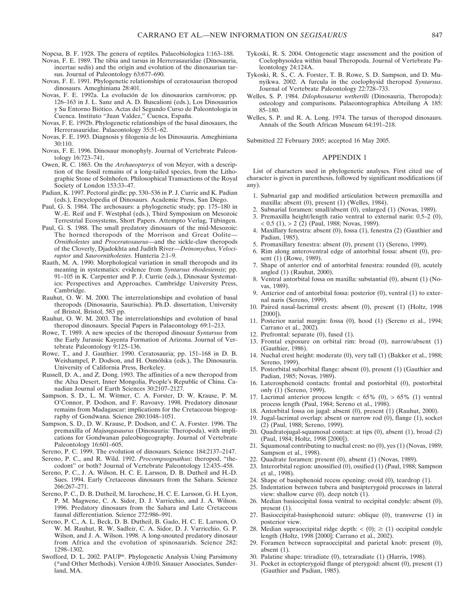Nopcsa, B. F. 1928. The genera of reptiles. Palaeobiologica 1:163–188.

- Novas, F. E. 1989. The tibia and tarsus in Herrerasauridae (Dinosauria, incertae sedis) and the origin and evolution of the dinosaurian tarsus. Journal of Paleontology 63:677–690.
- Novas, F. E. 1991. Phylogenetic relationships of ceratosaurian theropod dinosaurs. Ameghiniana 28:401.
- Novas, F. E. 1992a. La evolución de los dinosaurios carnívoros; pp. 126–163 in J. L. Sanz and A. D. Buscalioni (eds.), Los Dinosaurios y Su Entorno Biótico. Actas del Segundo Curso de Paleontologia in Cuenca. Instituto "Juan Valdez," Cuenca, España.
- Novas, F. E. 1992b. Phylogenetic relationships of the basal dinosaurs, the Herrerasauridae. Palaeontology 35:51–62.
- Novas, F. E. 1993. Diagnosis y filogenia de los Dinosauria. Ameghiniana 30:110.
- Novas, F. E. 1996. Dinosaur monophyly. Journal of Vertebrate Paleontology 16:723–741.
- Owen, R. C. 1863. On the *Archaeopteryx* of von Meyer, with a description of the fossil remains of a long-tailed species, from the Lithographic Stone of Solnhofen. Philosophical Transactions of the Royal Society of London 153:33–47.
- Padian, K. 1997. Pectoral girdle; pp. 530–536 in P. J. Currie and K. Padian (eds.), Encyclopedia of Dinosaurs. Academic Press, San Diego.
- Paul, G. S. 1984. The archosaurs: a phylogenetic study; pp. 175–180 in W.-E. Reif and F. Westphal (eds.), Third Symposium on Mesozoic Terrestrial Ecosystems, Short Papers. Attempto Verlag, Tübingen.
- Paul, G. S. 1988. The small predatory dinosaurs of the mid-Mesozoic: The horned theropods of the Morrison and Great Oolite— *Ornitholestes* and *Proceratosaurus*—and the sickle-claw theropods of the Cloverly, Djadokhta and Judith River—*Deinonychus, Velociraptor* and *Saurornitholestes*. Hunteria 2:1–9.
- Raath, M. A. 1990. Morphological variation in small theropods and its meaning in systematics: evidence from *Syntarsus rhodesiensis*; pp. 91–105 in K. Carpenter and P. J. Currie (eds.), Dinosaur Systematics: Perspectives and Approaches. Cambridge University Press, Cambridge.
- Rauhut, O. W. M. 2000. The interrelationships and evolution of basal theropods (Dinosauria, Saurischia). Ph.D. dissertation, University of Bristol, Bristol, 583 pp.
- Rauhut, O. W. M. 2003. The interrelationships and evolution of basal theropod dinosaurs. Special Papers in Palaeontology 69:1–213.
- Rowe, T. 1989. A new species of the theropod dinosaur *Syntarsus* from the Early Jurassic Kayenta Formation of Arizona. Journal of Vertebrate Paleontology 9:125–136.
- Rowe, T., and J. Gauthier. 1990. Ceratosauria; pp. 151–168 in D. B. Weishampel, P. Dodson, and H. Osmólska (eds.), The Dinosauria. University of California Press, Berkeley.
- Russell, D. A., and Z. Dong. 1993. The affinities of a new theropod from the Alxa Desert, Inner Mongolia, People's Republic of China. Canadian Journal of Earth Sciences 30:2107–2127.
- Sampson, S. D., L. M. Witmer, C. A. Forster, D. W. Krause, P. M. O'Connor, P. Dodson, and F. Ravoavy. 1998. Predatory dinosaur remains from Madagascar: implications for the Cretaceous biogeography of Gondwana. Science 280:1048–1051.
- Sampson, S. D., D. W. Krause, P. Dodson, and C. A. Forster. 1996. The premaxilla of *Majungasaurus* (Dinosauria: Theropoda), with implications for Gondwanan paleobiogeography. Journal of Vertebrate Paleontology 16:601-605.
- Sereno, P. C. 1999. The evolution of dinosaurs. Science 184:2137–2147.
- Sereno, P. C., and R. Wild. 1992. *Procompsognathus*: theropod, "thecodont" or both? Journal of Vertebrate Paleontology 12:435–458.
- Sereno, P. C., J. A. Wilson, H. C. E. Larsson, D. B. Dutheil and H.-D. Sues. 1994. Early Cretaceous dinosaurs from the Sahara. Science 266:267–271.
- Sereno, P. C., D. B. Dutheil, M. Iarochene, H. C. E. Larsson, G. H. Lyon, P. M. Magwene, C. A. Sidor, D. J. Varricchio, and J. A. Wilson. 1996. Predatory dinosaurs from the Sahara and Late Cretaceous faunal differentiation. Science 272:986–991.
- Sereno, P. C., A. L. Beck, D. B. Dutheil, B. Gado, H. C. E. Larsson, O. W. M. Rauhut, R. W. Sadleir, C. A. Sidor, D. J. Varricchio, G. P. Wilson, and J. A. Wilson. 1998. A long-snouted predatory dinosaur from Africa and the evolution of spinosaurids. Science 282: 1298–1302.
- Swofford, D. L. 2002. PAUP\*. Phylogenetic Analysis Using Parsimony (\*and Other Methods). Version 4.0b10. Sinauer Associates, Sunderland, MA.
- Tykoski, R. S. 2004. Ontogenetic stage assessment and the position of Coelophysoidea within basal Theropoda. Journal of Vertebrate Paleontology 24:124A.
- Tykoski, R. S., C. A. Forster, T. B. Rowe, S. D. Sampson, and D. Munyikwa. 2002. A furcula in the coelophysid theropod *Syntarsus*. Journal of Vertebrate Paleontology 22:728–733.
- Welles, S. P. 1984. *Dilophosaurus wetherilli* (Dinosauria, Theropoda): osteology and comparisons. Palaeontographica Abteilung A 185: 85–180.
- Welles, S. P. and R. A. Long. 1974. The tarsus of theropod dinosaurs. Annals of the South African Museum 64:191–218.

Submitted 22 February 2005; accepted 16 May 2005.

## APPENDIX 1

List of characters used in phylogenetic analyses. First cited use of character is given in parenthesis, followed by significant modifications (if any).

- 1. Subnarial gap and modified articulation between premaxilla and maxilla: absent (0), present (1) (Welles, 1984).
- 2. Subnarial foramen: small/absent (0), enlarged (1) (Novas, 1989).
- 3. Premaxilla height/length ratio ventral to external naris: 0.5–2 (0),  $< 0.5$  (1),  $> 2$  (2) (Paul, 1988; Novas, 1989).
- 4. Maxillary fenestra: absent (0), fossa (1), fenestra (2) (Gauthier and Padian, 1985).
- 5. Promaxillary fenestra: absent (0), present (1) (Sereno, 1999).
- 6. Rim along anteroventral edge of antorbital fossa: absent (0), present (1) (Rowe, 1989).
- 7. Shape of anterior end of antorbital fenestra: rounded (0), acutely angled (1) (Rauhut, 2000).
- 8. Ventral antorbital fossa on maxilla: substantial (0), absent (1) (Novas, 1989).
- 9. Anterior end of antorbital fossa: posterior (0), ventral (1) to external naris (Sereno, 1999).
- 10. Paired nasal-lacrimal crests: absent (0), present (1) (Holtz, 1998 [2000]).
- 11. Posterior narial margin: fossa (0), hood (1) (Sereno et al., 1994; Carrano et al., 2002).
- 12. Prefrontal: separate (0), fused (1).
- 13. Frontal exposure on orbital rim: broad (0), narrow/absent (1) (Gauthier, 1986).
- 14. Nuchal crest height: moderate (0), very tall (1) (Bakker et al., 1988; Sereno, 1999).
- 15. Postorbital suborbital flange: absent (0), present (1) (Gauthier and Padian, 1985; Novas, 1989).
- 16. Laterosphenoid contacts: frontal and postorbital (0), postorbital only (1) (Sereno, 1999).
- 17. Lacrimal anterior process length:  $< 65\%$  (0),  $> 65\%$  (1) ventral process length (Paul, 1984; Sereno et al., 1998).
- 18. Antorbital fossa on jugal: absent (0), present (1) (Rauhut, 2000).
- 19. Jugal-lacrimal overlap: absent or narrow rod (0), flange (1), socket (2) (Paul, 1988; Sereno, 1999).
- 20. Quadratojugal-squamosal contact: at tips (0), absent (1), broad (2) (Paul, 1984; Holtz, 1998 [2000]).
- 21. Squamosal contributing to nuchal crest: no (0), yes (1) (Novas, 1989; Sampson et al., 1998).
- 22. Quadrate foramen: present (0), absent (1) (Novas, 1989).
- 23. Interorbital region: unossified (0), ossified (1) (Paul, 1988; Sampson et al., 1998).
- 24. Shape of basisphenoid recess opening: ovoid (0), teardrop (1).
- 25. Indentation between tubera and basipterygoid processes in lateral view: shallow curve (0), deep notch (1).
- 26. Median basioccipital fossa ventral to occipital condyle: absent (0), present (1).
- 27. Basioccipital-basisphenoid suture: oblique (0), transverse (1) in posterior view.
- 28. Median supraoccipital ridge depth:  $\lt (0)$ ;  $\ge (1)$  occipital condyle length (Holtz, 1998 [2000]; Carrano et al., 2002).
- 29. Foramen between supraoccipital and parietal knob: present (0), absent  $(1)$ .
- 30. Palatine shape: triradiate (0), tetraradiate (1) (Harris, 1998).
- 31. Pocket in ectopterygoid flange of pterygoid: absent (0), present (1) (Gauthier and Padian, 1985).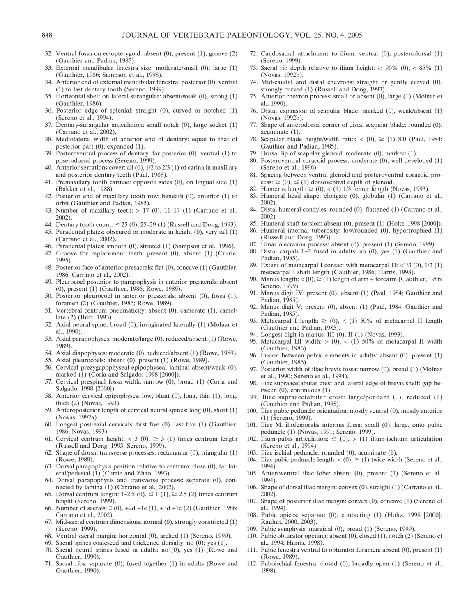- 32. Ventral fossa on ectopterygoid: absent (0), present (1), groove (2) (Gauthier and Padian, 1985).
- 33. External mandibular fenestra size: moderate/small (0), large (1) (Gauthier, 1986; Sampson et al., 1998).
- 34. Anterior end of external mandibular fenestra: posterior (0), ventral (1) to last dentary tooth (Sereno, 1999).
- 35. Horizontal shelf on lateral surangular: absent/weak (0), strong (1) (Gauthier, 1986).
- 36. Posterior edge of splenial: straight (0), curved or notched (1) (Sereno et al., 1994).
- 37. Dentary-surangular articulation: small notch (0), large socket (1) (Carrano et al., 2002).
- 38. Mediolateral width of anterior end of dentary: equal to that of posterior part (0), expanded (1).
- 39. Posteroventral process of dentary: far posterior (0), ventral (1) to poserodorsal process (Sereno, 1999).
- 40. Anterior serrations cover: all (0), 1/2 to 2/3 (1) of carina in maxillary and posterior dentary teeth (Paul, 1988).
- 41. Premaxillary tooth carinae: opposite sides (0), on lingual side (1) (Bakker et al., 1988).
- 42. Posterior end of maxillary tooth row: beneath (0), anterior (1) to orbit (Gauthier and Padian, 1985).
- 43. Number of maxillary teeth:  $> 17$  (0), 11-17 (1) (Carrano et al., 2002).
- 44. Dentary tooth count:  $\leq 25 (0)$ , 25–29 (1) (Russell and Dong, 1993).
- 45. Paradental plates: obscured or moderate in height (0), very tall (1) (Carrano et al., 2002).
- 46. Paradental plates: smooth (0), striated (1) (Sampson et al., 1996).
- 47. Groove for replacement teeth: present (0), absent (1) (Currie, 1995).
- 48. Posterior face of anterior presacrals: flat (0), concave (1) (Gauthier, 1986; Carrano et al., 2002).
- 49. Pleurocoel posterior to parapophysis in anterior presacrals: absent (0), present (1) (Gauthier, 1986; Rowe, 1989).
- 50. Posterior pleurocoel in anterior presacrals: absent (0), fossa (1), foramen (2) (Gauthier, 1986; Rowe, 1989).
- 51. Vertebral centrum pneumaticity: absent (0), camerate (1), camellate (2) (Britt, 1993).
- 52. Axial neural spine: broad (0), invaginated laterally (1) (Molnar et al., 1990).
- 53. Axial parapophyses: moderate/large (0), reduced/absent (1) (Rowe, 1989).
- 54. Axial diapophyses: moderate (0), reduced/absent (1) (Rowe, 1989).
- 55. Axial pleurocoels: absent (0), present (1) (Rowe, 1989).
- 56. Cervical prezygapophyseal-epipophyseal lamina: absent/weak (0), marked (1) (Coria and Salgado, 1998 [2000]).
- 57. Cervical prespinal fossa width: narrow (0), broad (1) (Coria and Salgado, 1998 [2000]).
- 58. Anterior cervical epipophyses: low, blunt (0), long, thin (1), long, thick (2) (Novas, 1993).
- 59. Anteroposterior length of cervical neural spines: long (0), short (1) (Novas, 1992a).
- 60. Longest post-axial cervicals: first five (0), last five (1) (Gauthier, 1986; Novas, 1993).
- 61. Cervical centrum height: < 3 (0),  $\geq$  3 (1) times centrum length (Russell and Dong, 1993; Sereno, 1999).
- 62. Shape of dorsal transverse processes: rectangular (0), triangular (1) (Rowe, 1989).
- 63. Dorsal parapophysis position relative to centrum: close (0), far lateral/pedestal (1) (Currie and Zhao, 1993).
- 64. Dorsal parapophysis and transverse process: separate (0), connected by lamina (1) (Carrano et al., 2002).
- 65. Dorsal centrum length:  $1-2.5$  (0),  $\leq 1$  (1),  $\geq 2.5$  (2) times centrum height (Sereno, 1999).
- 66. Number of sacrals: 2 (0), +2d +1c (1), +3d +1c (2) (Gauthier, 1986; Carrano et al., 2002).
- 67. Mid-sacral centrum dimensions: normal (0), strongly constricted (1) (Sereno, 1999).
- 68. Ventral sacral margin: horizontal (0), arched (1) (Sereno, 1999).
- 69. Sacral spines coalesced and thickened dorsally: no (0); yes (1).
- 70. Sacral neural spines fused in adults: no (0), yes (1) (Rowe and Gauthier, 1990).
- 71. Sacral ribs: separate (0), fused together (1) in adults (Rowe and Gauthier, 1990).
- 72. Caudosacral attachment to ilium: ventral (0), posterodorsal (1) (Sereno, 1999).
- Sacral rib depth relative to ilium height:  $\geq 90\%$  (0), < 85% (1) (Novas, 1992b).
- 74. Mid-caudal and distal chevrons: straight or gently curved (0), strongly curved (1) (Russell and Dong, 1993).
- 75. Anterior chevron process: small or absent (0), large (1) (Molnar et al., 1990).
- 76. Distal expansion of scapular blade: marked (0), weak/absent (1) (Novas, 1992b).
- 77. Shape of anterodorsal corner of distal scapular blade: rounded (0), acuminate (1).
- 78. Scapular blade height/width ratio:  $\lt$  (0),  $\ge$  (1) 8.0 (Paul, 1984; Gauthier and Padian, 1985).
- 79. Dorsal lip of scapular glenoid: moderate (0), marked (1).
- 80. Posteroventral coracoid process: moderate (0), well developed (1) (Sereno et al., 1996).
- 81. Spacing between ventral glenoid and posteroventral coracoid process:  $\geq$  (0),  $\leq$  (1) dorsoventral depth of glenoid.
- 82. Humerus length:  $\geq$  (0), < (1) 1/3 femur length (Novas, 1993).
- 83. Humeral head shape: elongate (0), globular (1) (Carrano et al., 2002).
- 84. Distal humeral condyles: rounded (0), flattened (1) (Carrano et al., 2002)
- 85. Humeral shaft torsion: absent (0), present (1) (Holtz, 1998 [2000]).
- 86. Humeral internal tuberosity: low/rounded (0), hypertrophied (1) (Russell and Dong, 1993).
- 87. Ulnar olecranon process: absent (0), present (1) (Sereno, 1999).
- 88. Distal carpals 1+2 fused in adults: no (0), yes (1) (Gauthier and Padian, 1985).
- Extent of metacarpal I contact with metacarpal II:  $\langle 1/3 (0), 1/2 (1) \rangle$ metacarpal I shaft length (Gauthier, 1986; Harris, 1998).
- 90. Manus length:  $<(0)$ ,  $\geq (1)$  length of arm + forearm (Gauthier, 1986; Sereno, 1999).
- 91. Manus digit IV: present (0), absent (1) (Paul, 1984; Gauthier and Padian, 1985).
- 92. Manus digit V: present (0), absent (1) (Paul, 1984; Gauthier and Padian, 1985).
- 93. Metacarpal I length:  $\ge$  (0), < (1) 50% of metacarpal II length (Gauthier and Padian, 1985).
- 94. Longest digit in manus: III (0), II (1) (Novas, 1993).
- 95. Metacarpal III width:  $>$  (0),  $<$  (1) 50% of metacarpal II width (Gauthier, 1986).
- 96. Fusion between pelvic elements in adults: absent (0), present (1) (Gauthier, 1986).
- 97. Posterior width of iliac brevis fossa: narrow (0), broad (1) (Molnar et al., 1990; Sereno et al., 1994).
- 98. Iliac supraacetabular crest and lateral edge of brevis shelf: gap between (0), continuous (1).
- 99. Iliac supraacetabular crest: large/pendant (0), reduced (1) (Gauthier and Padian, 1985).
- 100. Iliac pubic peduncle orientation: mostly ventral (0), mostly anterior (1) (Sereno, 1999).
- 101. Iliac M. iliofemoralis internus fossa: small (0), large, onto pubic peduncle (1) (Novas, 1991; Sereno, 1999).
- 102. Ilium-pubis articulation:  $\leq$  (0), > (1) ilium-ischium articulation (Sereno et al., 1994).
- 103. Iliac ischial peduncle: rounded (0), acuminate (1).
- 104. Iliac pubic peduncle length:  $\lt$  (0),  $\ge$  (1) twice width (Sereno et al., 1994).
- 105. Anteroventral iliac lobe: absent (0), present (1) (Sereno et al., 1994).
- 106. Shape of dorsal iliac margin: convex (0), straight (1) (Carrano et al., 2002).
- 107. Shape of posterior iliac margin: convex (0), concave (1) (Sereno et al., 1994).
- 108. Pubic apices: separate (0), contacting (1) (Holtz, 1998 [2000]; Rauhut, 2000, 2003).
- 109. Pubic symphysis: marginal (0), broad (1) (Sereno, 1999).
- 110. Pubic obturator opening: absent (0), closed (1), notch (2) (Sereno et al., 1994; Harris, 1998).
- 111. Pubic fenestra ventral to obturator foramen: absent (0), present (1) (Rowe, 1989).
- 112. Puboischial fenestra: closed (0), broadly open (1) (Sereno et al., 1998).